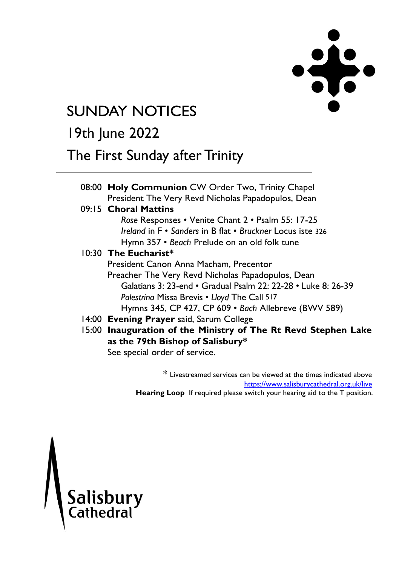

# **SUNDAY NOTICES**

# 19th June 2022

## The First Sunday after Trinity

|  | 08:00 Holy Communion CW Order Two, Trinity Chapel              |  |
|--|----------------------------------------------------------------|--|
|  | President The Very Revd Nicholas Papadopulos, Dean             |  |
|  | 09:15 Choral Mattins                                           |  |
|  | Rose Responses • Venite Chant 2 • Psalm 55: 17-25              |  |
|  | Ireland in F · Sanders in B flat · Bruckner Locus iste 326     |  |
|  | Hymn 357 • Beach Prelude on an old folk tune                   |  |
|  | 10:30 The Eucharist*                                           |  |
|  | President Canon Anna Macham, Precentor                         |  |
|  | Preacher The Very Revd Nicholas Papadopulos, Dean              |  |
|  | Galatians 3: 23-end · Gradual Psalm 22: 22-28 · Luke 8: 26-39  |  |
|  | Palestrina Missa Brevis • Lloyd The Call 517                   |  |
|  | Hymns 345, CP 427, CP 609 · Bach Allebreve (BWV 589)           |  |
|  | 14:00 Evening Prayer said, Sarum College                       |  |
|  | 15:00 Inauguration of the Ministry of The Rt Revd Stephen Lake |  |
|  | as the 79th Bishop of Salisbury*                               |  |
|  | See special order of service.                                  |  |

\* Livestreamed services can be viewed at the times indicated above <https://www.salisburycathedral.org.uk/live> **Hearing Loop** If required please switch your hearing aid to the T position.

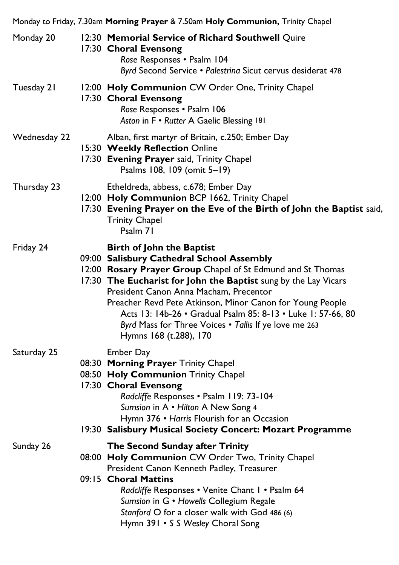| Monday to Friday, 7.30am Morning Prayer & 7.50am Holy Communion, Trinity Chapel |  |                                                                                                                                                                                                                                                                                                                                                                                                                                                                           |  |
|---------------------------------------------------------------------------------|--|---------------------------------------------------------------------------------------------------------------------------------------------------------------------------------------------------------------------------------------------------------------------------------------------------------------------------------------------------------------------------------------------------------------------------------------------------------------------------|--|
| Monday 20                                                                       |  | 12:30 Memorial Service of Richard Southwell Quire<br>17:30 Choral Evensong<br>Rose Responses . Psalm 104<br>Byrd Second Service · Palestrina Sicut cervus desiderat 478                                                                                                                                                                                                                                                                                                   |  |
| Tuesday 21                                                                      |  | 12:00 Holy Communion CW Order One, Trinity Chapel<br>17:30 Choral Evensong<br>Rose Responses . Psalm 106<br>Aston in F • Rutter A Gaelic Blessing 181                                                                                                                                                                                                                                                                                                                     |  |
| Wednesday 22                                                                    |  | Alban, first martyr of Britain, c.250; Ember Day<br>15:30 Weekly Reflection Online<br>17:30 Evening Prayer said, Trinity Chapel<br>Psalms 108, 109 (omit 5-19)                                                                                                                                                                                                                                                                                                            |  |
| Thursday 23                                                                     |  | Etheldreda, abbess, c.678; Ember Day<br>12:00 Holy Communion BCP 1662, Trinity Chapel<br>17:30 Evening Prayer on the Eve of the Birth of John the Baptist said,<br><b>Trinity Chapel</b><br>Psalm 71                                                                                                                                                                                                                                                                      |  |
| Friday 24                                                                       |  | <b>Birth of John the Baptist</b><br>09:00 Salisbury Cathedral School Assembly<br>12:00 Rosary Prayer Group Chapel of St Edmund and St Thomas<br>17:30 The Eucharist for John the Baptist sung by the Lay Vicars<br>President Canon Anna Macham, Precentor<br>Preacher Revd Pete Atkinson, Minor Canon for Young People<br>Acts 13: 14b-26 • Gradual Psalm 85: 8-13 • Luke 1: 57-66, 80<br>Byrd Mass for Three Voices . Tallis If ye love me 263<br>Hymns 168 (t.288), 170 |  |
| Saturday 25                                                                     |  | <b>Ember Day</b><br>08:30 Morning Prayer Trinity Chapel<br>08:50 Holy Communion Trinity Chapel<br>17:30 Choral Evensong<br>Radcliffe Responses . Psalm 119: 73-104<br>Sumsion in A • Hilton A New Song 4<br>Hymn 376 • Harris Flourish for an Occasion<br>19:30 Salisbury Musical Society Concert: Mozart Programme                                                                                                                                                       |  |
| Sunday 26                                                                       |  | The Second Sunday after Trinity<br>08:00 Holy Communion CW Order Two, Trinity Chapel<br>President Canon Kenneth Padley, Treasurer<br>09:15 Choral Mattins<br>Radcliffe Responses . Venite Chant I . Psalm 64<br>Sumsion in G · Howells Collegium Regale<br>Stanford O for a closer walk with God 486 (6)<br>Hymn 391 • S S Wesley Choral Song                                                                                                                             |  |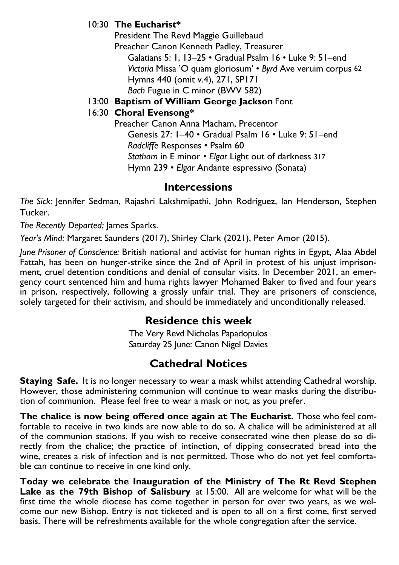#### 10:30 **The Eucharist\***

President The Revd Maggie Guillebaud Preacher Canon Kenneth Padley, Treasurer Galatians 5: 1, 13–25 • Gradual Psalm 16 • Luke 9: 51–end *Victoria* Missa 'O quam gloriosum' • *Byrd* Ave veruim corpus 62 Hymns 440 (omit v.4), 271, SP171 *Bach* Fugue in C minor (BWV 582)

#### 13:00 **Baptism of William George Jackson** Font

#### 16:30 **Choral Evensong\***

Preacher Canon Anna Macham, Precentor Genesis 27: 1–40 • Gradual Psalm 16 • Luke 9: 51–end *Radcliffe* Responses • Psalm 60 *Statham* in E minor • *Elgar* Light out of darkness 317 Hymn 239 • *Elgar* Andante espressivo (Sonata)

#### **Intercessions**

*The Sick:* Jennifer Sedman, Rajashri Lakshmipathi, John Rodriguez, Ian Henderson, Stephen Tucker.

*The Recently Departed:* James Sparks.

*Year's Mind:* Margaret Saunders (2017), Shirley Clark (2021), Peter Amor (2015).

*June Prisoner of Conscience:* British national and activist for human rights in Egypt, Alaa Abdel Fattah, has been on hunger-strike since the 2nd of April in protest of his unjust imprisonment, cruel detention conditions and denial of consular visits. In December 2021, an emergency court sentenced him and huma rights lawyer Mohamed Baker to fived and four years in prison, respectively, following a grossly unfair trial. They are prisoners of conscience, solely targeted for their activism, and should be immediately and unconditionally released.

### **Residence this week**

The Very Revd Nicholas Papadopulos Saturday 25 June: Canon Nigel Davies

### **Cathedral Notices**

**Staying Safe.** It is no longer necessary to wear a mask whilst attending Cathedral worship. However, those administering communion will continue to wear masks during the distribution of communion. Please feel free to wear a mask or not, as you prefer.

**The chalice is now being offered once again at The Eucharist.** Those who feel comfortable to receive in two kinds are now able to do so. A chalice will be administered at all of the communion stations. If you wish to receive consecrated wine then please do so directly from the chalice; the practice of intinction, of dipping consecrated bread into the wine, creates a risk of infection and is not permitted. Those who do not yet feel comfortable can continue to receive in one kind only.

**Today we celebrate the Inauguration of the Ministry of The Rt Revd Stephen Lake as the 79th Bishop of Salisbury** at 15:00. All are welcome for what will be the first time the whole diocese has come together in person for over two years, as we welcome our new Bishop. Entry is not ticketed and is open to all on a first come, first served basis. There will be refreshments available for the whole congregation after the service.